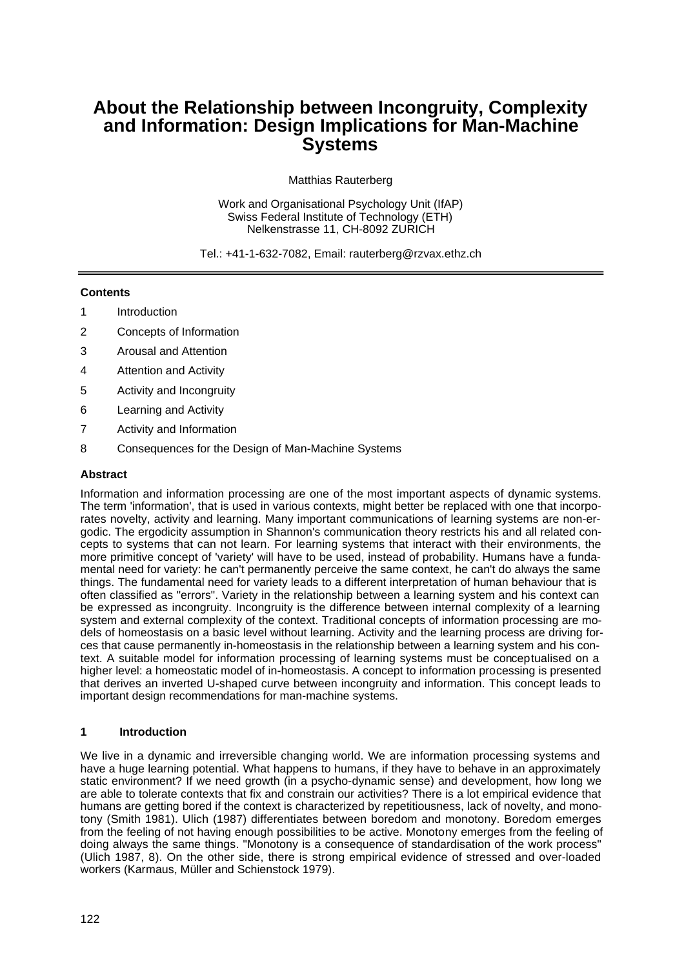# **About the Relationship between Incongruity, Complexity and Information: Design Implications for Man-Machine Systems**

Matthias Rauterberg

Work and Organisational Psychology Unit (IfAP) Swiss Federal Institute of Technology (ETH) Nelkenstrasse 11, CH-8092 ZURICH

Tel.: +41-1-632-7082, Email: rauterberg@rzvax.ethz.ch

### **Contents**

- 1 Introduction
- 2 Concepts of Information
- 3 Arousal and Attention
- 4 Attention and Activity
- 5 Activity and Incongruity
- 6 Learning and Activity
- 7 Activity and Information
- 8 Consequences for the Design of Man-Machine Systems

### **Abstract**

Information and information processing are one of the most important aspects of dynamic systems. The term 'information', that is used in various contexts, might better be replaced with one that incorporates novelty, activity and learning. Many important communications of learning systems are non-ergodic. The ergodicity assumption in Shannon's communication theory restricts his and all related concepts to systems that can not learn. For learning systems that interact with their environments, the more primitive concept of 'variety' will have to be used, instead of probability. Humans have a fundamental need for variety: he can't permanently perceive the same context, he can't do always the same things. The fundamental need for variety leads to a different interpretation of human behaviour that is often classified as "errors". Variety in the relationship between a learning system and his context can be expressed as incongruity. Incongruity is the difference between internal complexity of a learning system and external complexity of the context. Traditional concepts of information processing are models of homeostasis on a basic level without learning. Activity and the learning process are driving forces that cause permanently in-homeostasis in the relationship between a learning system and his context. A suitable model for information processing of learning systems must be conceptualised on a higher level: a homeostatic model of in-homeostasis. A concept to information processing is presented that derives an inverted U-shaped curve between incongruity and information. This concept leads to important design recommendations for man-machine systems.

#### **1 Introduction**

We live in a dynamic and irreversible changing world. We are information processing systems and have a huge learning potential. What happens to humans, if they have to behave in an approximately static environment? If we need growth (in a psycho-dynamic sense) and development, how long we are able to tolerate contexts that fix and constrain our activities? There is a lot empirical evidence that humans are getting bored if the context is characterized by repetitiousness, lack of novelty, and monotony (Smith 1981). Ulich (1987) differentiates between boredom and monotony. Boredom emerges from the feeling of not having enough possibilities to be active. Monotony emerges from the feeling of doing always the same things. "Monotony is a consequence of standardisation of the work process" (Ulich 1987, 8). On the other side, there is strong empirical evidence of stressed and over-loaded workers (Karmaus, Müller and Schienstock 1979).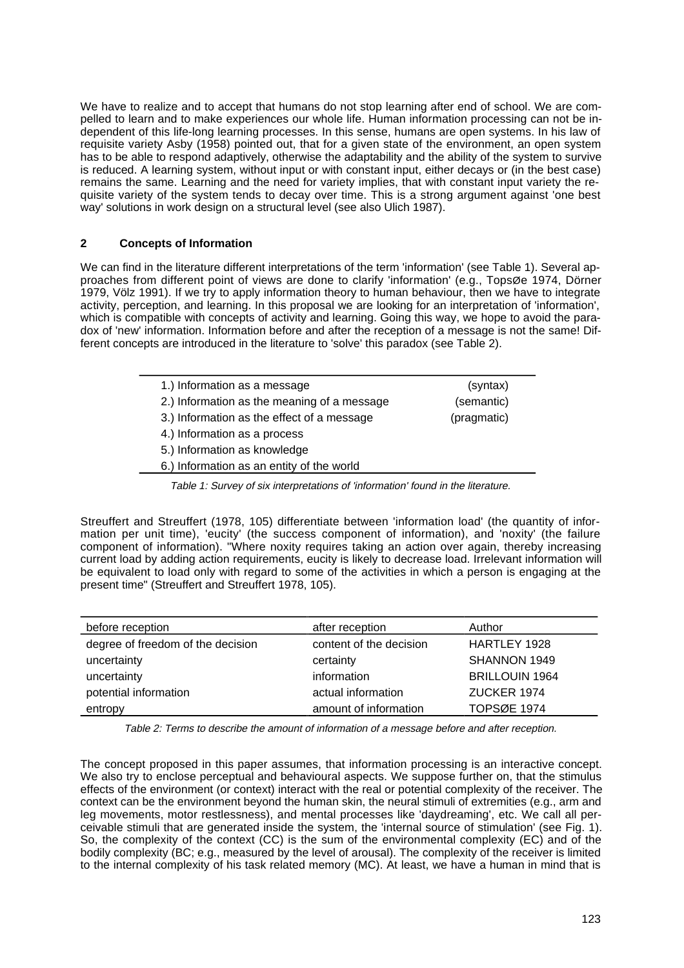We have to realize and to accept that humans do not stop learning after end of school. We are compelled to learn and to make experiences our whole life. Human information processing can not be independent of this life-long learning processes. In this sense, humans are open systems. In his law of requisite variety Asby (1958) pointed out, that for a given state of the environment, an open system has to be able to respond adaptively, otherwise the adaptability and the ability of the system to survive is reduced. A learning system, without input or with constant input, either decays or (in the best case) remains the same. Learning and the need for variety implies, that with constant input variety the requisite variety of the system tends to decay over time. This is a strong argument against 'one best way' solutions in work design on a structural level (see also Ulich 1987).

## **2 Concepts of Information**

We can find in the literature different interpretations of the term 'information' (see Table 1). Several approaches from different point of views are done to clarify 'information' (e.g., TopsØe 1974, Dörner 1979, Völz 1991). If we try to apply information theory to human behaviour, then we have to integrate activity, perception, and learning. In this proposal we are looking for an interpretation of 'information', which is compatible with concepts of activity and learning. Going this way, we hope to avoid the paradox of 'new' information. Information before and after the reception of a message is not the same! Different concepts are introduced in the literature to 'solve' this paradox (see Table 2).

| 1.) Information as a message                | (syntax)    |
|---------------------------------------------|-------------|
| 2.) Information as the meaning of a message | (semantic)  |
| 3.) Information as the effect of a message  | (pragmatic) |
| 4.) Information as a process                |             |
| 5.) Information as knowledge                |             |
| 6.) Information as an entity of the world   |             |
|                                             |             |

Table 1: Survey of six interpretations of 'information' found in the literature.

Streuffert and Streuffert (1978, 105) differentiate between 'information load' (the quantity of information per unit time), 'eucity' (the success component of information), and 'noxity' (the failure component of information). "Where noxity requires taking an action over again, thereby increasing current load by adding action requirements, eucity is likely to decrease load. Irrelevant information will be equivalent to load only with regard to some of the activities in which a person is engaging at the present time" (Streuffert and Streuffert 1978, 105).

| before reception                  | after reception         | Author                |
|-----------------------------------|-------------------------|-----------------------|
| degree of freedom of the decision | content of the decision | HARTLEY 1928          |
| uncertainty                       | certainty               | SHANNON 1949          |
| uncertainty                       | information             | <b>BRILLOUIN 1964</b> |
| potential information             | actual information      | ZUCKER 1974           |
| entropy                           | amount of information   | <b>TOPSØE 1974</b>    |

Table 2: Terms to describe the amount of information of a message before and after reception.

The concept proposed in this paper assumes, that information processing is an interactive concept. We also try to enclose perceptual and behavioural aspects. We suppose further on, that the stimulus effects of the environment (or context) interact with the real or potential complexity of the receiver. The context can be the environment beyond the human skin, the neural stimuli of extremities (e.g., arm and leg movements, motor restlessness), and mental processes like 'daydreaming', etc. We call all perceivable stimuli that are generated inside the system, the 'internal source of stimulation' (see Fig. 1). So, the complexity of the context (CC) is the sum of the environmental complexity (EC) and of the bodily complexity (BC; e.g., measured by the level of arousal). The complexity of the receiver is limited to the internal complexity of his task related memory (MC). At least, we have a human in mind that is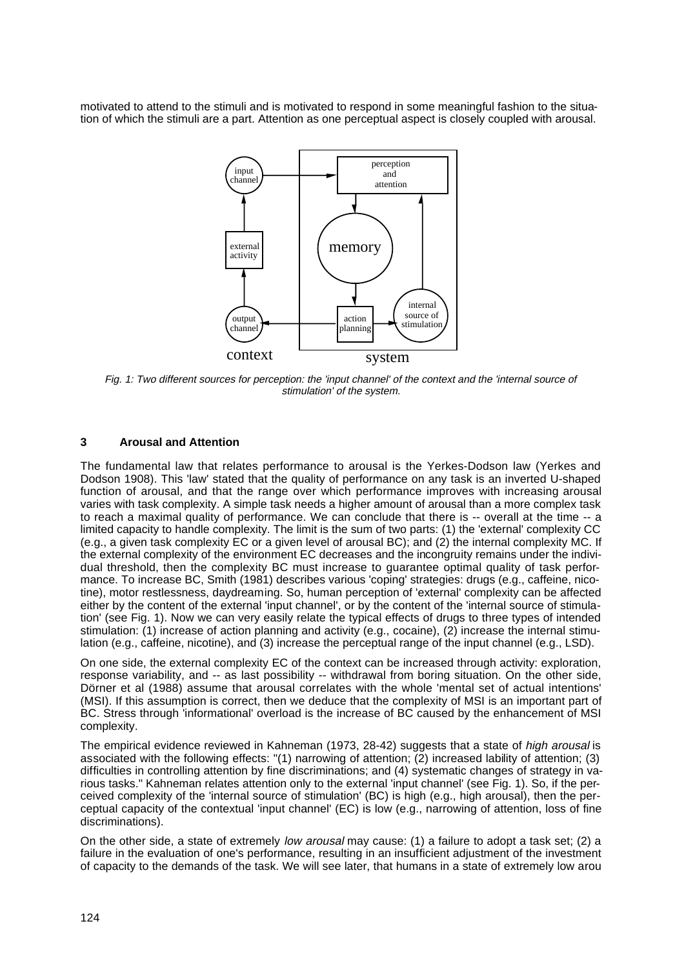motivated to attend to the stimuli and is motivated to respond in some meaningful fashion to the situation of which the stimuli are a part. Attention as one perceptual aspect is closely coupled with arousal.



Fig. 1: Two different sources for perception: the 'input channel' of the context and the 'internal source of stimulation' of the system.

## **3 Arousal and Attention**

The fundamental law that relates performance to arousal is the Yerkes-Dodson law (Yerkes and Dodson 1908). This 'law' stated that the quality of performance on any task is an inverted U-shaped function of arousal, and that the range over which performance improves with increasing arousal varies with task complexity. A simple task needs a higher amount of arousal than a more complex task to reach a maximal quality of performance. We can conclude that there is -- overall at the time -- a limited capacity to handle complexity. The limit is the sum of two parts: (1) the 'external' complexity CC (e.g., a given task complexity EC or a given level of arousal BC); and (2) the internal complexity MC. If the external complexity of the environment EC decreases and the incongruity remains under the individual threshold, then the complexity BC must increase to guarantee optimal quality of task performance. To increase BC, Smith (1981) describes various 'coping' strategies: drugs (e.g., caffeine, nicotine), motor restlessness, daydreaming. So, human perception of 'external' complexity can be affected either by the content of the external 'input channel', or by the content of the 'internal source of stimulation' (see Fig. 1). Now we can very easily relate the typical effects of drugs to three types of intended stimulation: (1) increase of action planning and activity (e.g., cocaine), (2) increase the internal stimulation (e.g., caffeine, nicotine), and (3) increase the perceptual range of the input channel (e.g., LSD).

On one side, the external complexity EC of the context can be increased through activity: exploration, response variability, and -- as last possibility -- withdrawal from boring situation. On the other side, Dörner et al (1988) assume that arousal correlates with the whole 'mental set of actual intentions' (MSI). If this assumption is correct, then we deduce that the complexity of MSI is an important part of BC. Stress through 'informational' overload is the increase of BC caused by the enhancement of MSI complexity.

The empirical evidence reviewed in Kahneman (1973, 28-42) suggests that a state of high arousal is associated with the following effects: "(1) narrowing of attention; (2) increased lability of attention; (3) difficulties in controlling attention by fine discriminations; and (4) systematic changes of strategy in various tasks." Kahneman relates attention only to the external 'input channel' (see Fig. 1). So, if the perceived complexity of the 'internal source of stimulation' (BC) is high (e.g., high arousal), then the perceptual capacity of the contextual 'input channel' (EC) is low (e.g., narrowing of attention, loss of fine discriminations).

On the other side, a state of extremely low arousal may cause: (1) a failure to adopt a task set; (2) a failure in the evaluation of one's performance, resulting in an insufficient adjustment of the investment of capacity to the demands of the task. We will see later, that humans in a state of extremely low arou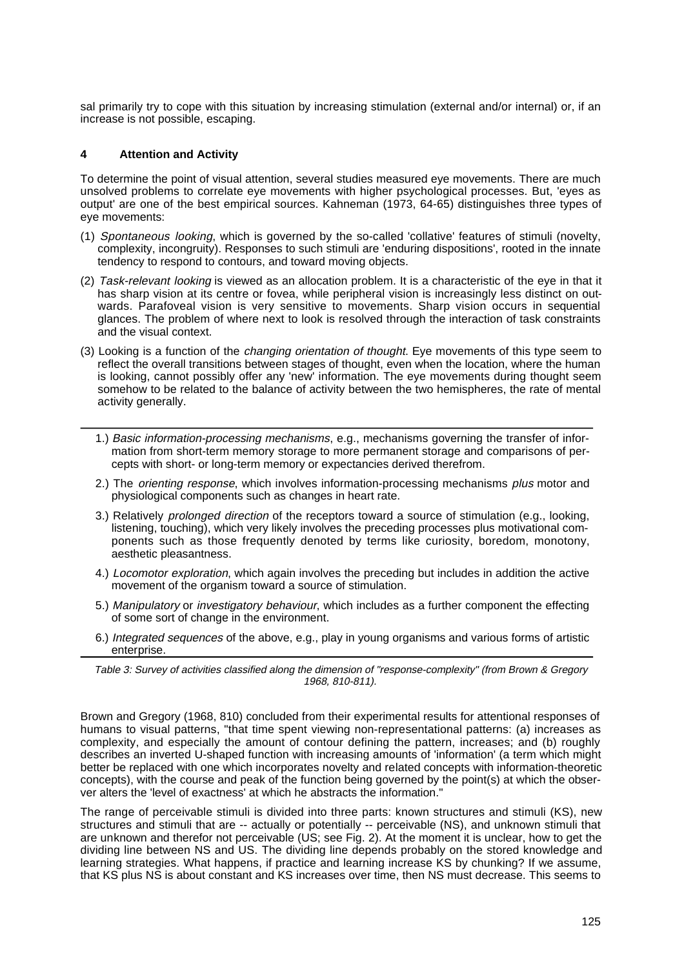sal primarily try to cope with this situation by increasing stimulation (external and/or internal) or, if an increase is not possible, escaping.

## **4 Attention and Activity**

To determine the point of visual attention, several studies measured eye movements. There are much unsolved problems to correlate eye movements with higher psychological processes. But, 'eyes as output' are one of the best empirical sources. Kahneman (1973, 64-65) distinguishes three types of eye movements:

- (1) Spontaneous looking, which is governed by the so-called 'collative' features of stimuli (novelty, complexity, incongruity). Responses to such stimuli are 'enduring dispositions', rooted in the innate tendency to respond to contours, and toward moving objects.
- (2) Task-relevant looking is viewed as an allocation problem. It is a characteristic of the eye in that it has sharp vision at its centre or fovea, while peripheral vision is increasingly less distinct on outwards. Parafoveal vision is very sensitive to movements. Sharp vision occurs in sequential glances. The problem of where next to look is resolved through the interaction of task constraints and the visual context.
- (3) Looking is a function of the changing orientation of thought. Eye movements of this type seem to reflect the overall transitions between stages of thought, even when the location, where the human is looking, cannot possibly offer any 'new' information. The eye movements during thought seem somehow to be related to the balance of activity between the two hemispheres, the rate of mental activity generally.
	- 1.) Basic information-processing mechanisms, e.g., mechanisms governing the transfer of information from short-term memory storage to more permanent storage and comparisons of percepts with short- or long-term memory or expectancies derived therefrom.
	- 2.) The *orienting response*, which involves information-processing mechanisms *plus* motor and physiological components such as changes in heart rate.
	- 3.) Relatively prolonged direction of the receptors toward a source of stimulation (e.g., looking, listening, touching), which very likely involves the preceding processes plus motivational components such as those frequently denoted by terms like curiosity, boredom, monotony, aesthetic pleasantness.
	- 4.) Locomotor exploration, which again involves the preceding but includes in addition the active movement of the organism toward a source of stimulation.
	- 5.) Manipulatory or investigatory behaviour, which includes as a further component the effecting of some sort of change in the environment.
	- 6.) Integrated sequences of the above, e.g., play in young organisms and various forms of artistic enterprise.

Table 3: Survey of activities classified along the dimension of "response-complexity" (from Brown & Gregory 1968, 810-811).

Brown and Gregory (1968, 810) concluded from their experimental results for attentional responses of humans to visual patterns, "that time spent viewing non-representational patterns: (a) increases as complexity, and especially the amount of contour defining the pattern, increases; and (b) roughly describes an inverted U-shaped function with increasing amounts of 'information' (a term which might better be replaced with one which incorporates novelty and related concepts with information-theoretic concepts), with the course and peak of the function being governed by the point(s) at which the observer alters the 'level of exactness' at which he abstracts the information."

The range of perceivable stimuli is divided into three parts: known structures and stimuli (KS), new structures and stimuli that are -- actually or potentially -- perceivable (NS), and unknown stimuli that are unknown and therefor not perceivable (US; see Fig. 2). At the moment it is unclear, how to get the dividing line between NS and US. The dividing line depends probably on the stored knowledge and learning strategies. What happens, if practice and learning increase KS by chunking? If we assume, that KS plus NS is about constant and KS increases over time, then NS must decrease. This seems to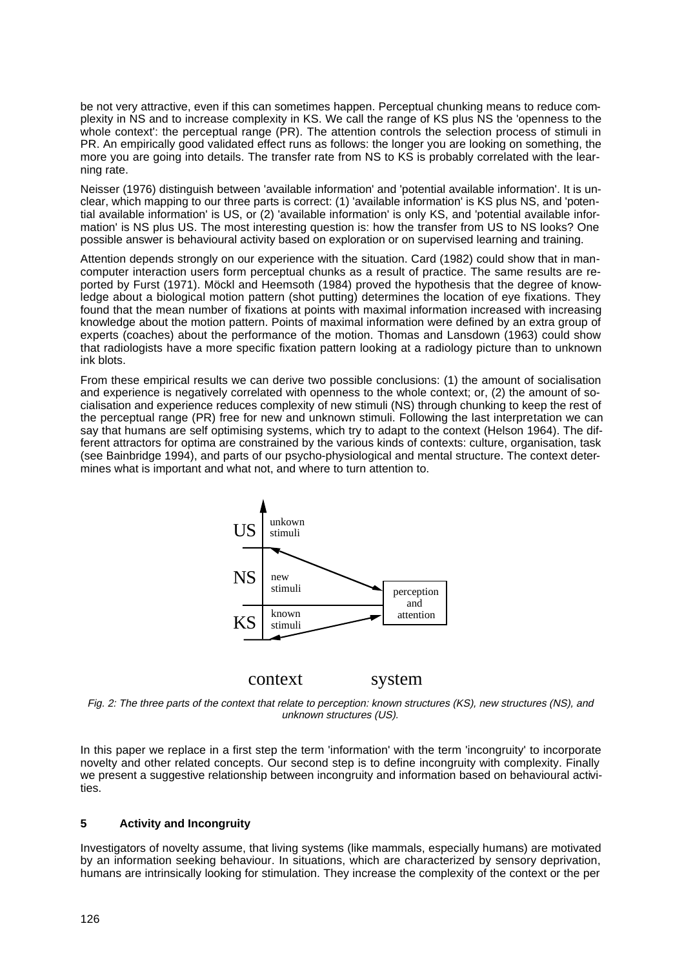be not very attractive, even if this can sometimes happen. Perceptual chunking means to reduce complexity in NS and to increase complexity in KS. We call the range of KS plus NS the 'openness to the whole context': the perceptual range (PR). The attention controls the selection process of stimuli in PR. An empirically good validated effect runs as follows: the longer you are looking on something, the more you are going into details. The transfer rate from NS to KS is probably correlated with the learning rate.

Neisser (1976) distinguish between 'available information' and 'potential available information'. It is unclear, which mapping to our three parts is correct: (1) 'available information' is KS plus NS, and 'potential available information' is US, or (2) 'available information' is only KS, and 'potential available information' is NS plus US. The most interesting question is: how the transfer from US to NS looks? One possible answer is behavioural activity based on exploration or on supervised learning and training.

Attention depends strongly on our experience with the situation. Card (1982) could show that in mancomputer interaction users form perceptual chunks as a result of practice. The same results are reported by Furst (1971). Möckl and Heemsoth (1984) proved the hypothesis that the degree of knowledge about a biological motion pattern (shot putting) determines the location of eye fixations. They found that the mean number of fixations at points with maximal information increased with increasing knowledge about the motion pattern. Points of maximal information were defined by an extra group of experts (coaches) about the performance of the motion. Thomas and Lansdown (1963) could show that radiologists have a more specific fixation pattern looking at a radiology picture than to unknown ink blots.

From these empirical results we can derive two possible conclusions: (1) the amount of socialisation and experience is negatively correlated with openness to the whole context; or, (2) the amount of socialisation and experience reduces complexity of new stimuli (NS) through chunking to keep the rest of the perceptual range (PR) free for new and unknown stimuli. Following the last interpretation we can say that humans are self optimising systems, which try to adapt to the context (Helson 1964). The different attractors for optima are constrained by the various kinds of contexts: culture, organisation, task (see Bainbridge 1994), and parts of our psycho-physiological and mental structure. The context determines what is important and what not, and where to turn attention to.



Fig. 2: The three parts of the context that relate to perception: known structures (KS), new structures (NS), and unknown structures (US).

In this paper we replace in a first step the term 'information' with the term 'incongruity' to incorporate novelty and other related concepts. Our second step is to define incongruity with complexity. Finally we present a suggestive relationship between incongruity and information based on behavioural activities.

## **5 Activity and Incongruity**

Investigators of novelty assume, that living systems (like mammals, especially humans) are motivated by an information seeking behaviour. In situations, which are characterized by sensory deprivation, humans are intrinsically looking for stimulation. They increase the complexity of the context or the per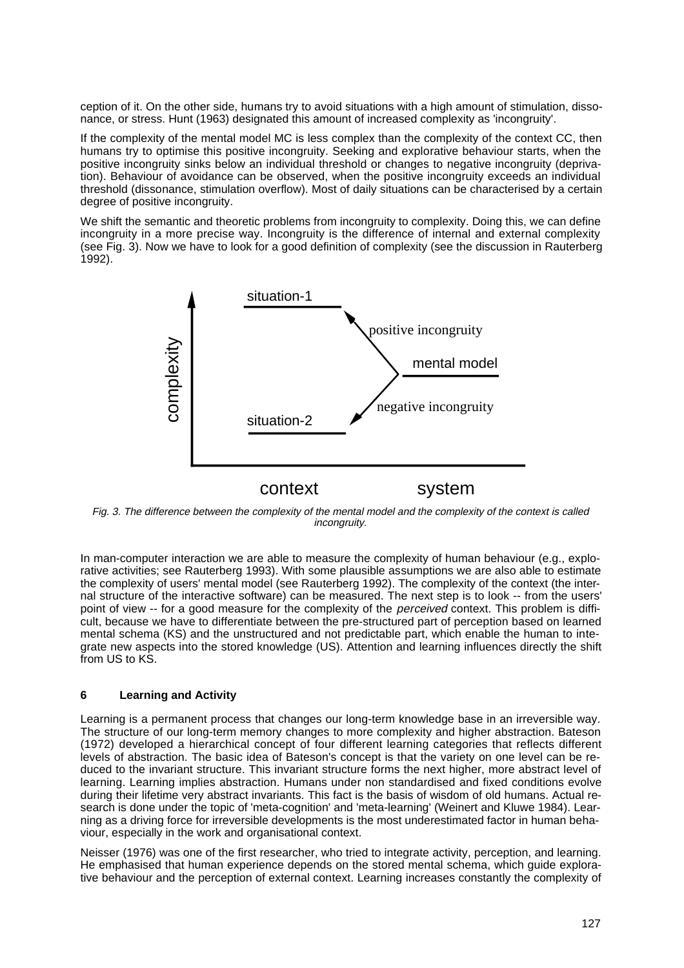ception of it. On the other side, humans try to avoid situations with a high amount of stimulation, dissonance, or stress. Hunt (1963) designated this amount of increased complexity as 'incongruity'.

If the complexity of the mental model MC is less complex than the complexity of the context CC, then humans try to optimise this positive incongruity. Seeking and explorative behaviour starts, when the positive incongruity sinks below an individual threshold or changes to negative incongruity (deprivation). Behaviour of avoidance can be observed, when the positive incongruity exceeds an individual threshold (dissonance, stimulation overflow). Most of daily situations can be characterised by a certain degree of positive incongruity.

We shift the semantic and theoretic problems from incongruity to complexity. Doing this, we can define incongruity in a more precise way. Incongruity is the difference of internal and external complexity (see Fig. 3). Now we have to look for a good definition of complexity (see the discussion in Rauterberg  $1992$ ).



Fig. 3. The difference between the complexity of the mental model and the complexity of the context is called incongruity.

In man-computer interaction we are able to measure the complexity of human behaviour (e.g., explorative activities; see Rauterberg 1993). With some plausible assumptions we are also able to estimate the complexity of users' mental model (see Rauterberg 1992). The complexity of the context (the internal structure of the interactive software) can be measured. The next step is to look -- from the users' point of view -- for a good measure for the complexity of the *perceived* context. This problem is difficult, because we have to differentiate between the pre-structured part of perception based on learned mental schema (KS) and the unstructured and not predictable part, which enable the human to integrate new aspects into the stored knowledge (US). Attention and learning influences directly the shift from US to KS.

#### **6 Learning and Activity**

Learning is a permanent process that changes our long-term knowledge base in an irreversible way. The structure of our long-term memory changes to more complexity and higher abstraction. Bateson (1972) developed a hierarchical concept of four different learning categories that reflects different levels of abstraction. The basic idea of Bateson's concept is that the variety on one level can be reduced to the invariant structure. This invariant structure forms the next higher, more abstract level of learning. Learning implies abstraction. Humans under non standardised and fixed conditions evolve during their lifetime very abstract invariants. This fact is the basis of wisdom of old humans. Actual research is done under the topic of 'meta-cognition' and 'meta-learning' (Weinert and Kluwe 1984). Learning as a driving force for irreversible developments is the most underestimated factor in human behaviour, especially in the work and organisational context.

Neisser (1976) was one of the first researcher, who tried to integrate activity, perception, and learning. He emphasised that human experience depends on the stored mental schema, which guide explorative behaviour and the perception of external context. Learning increases constantly the complexity of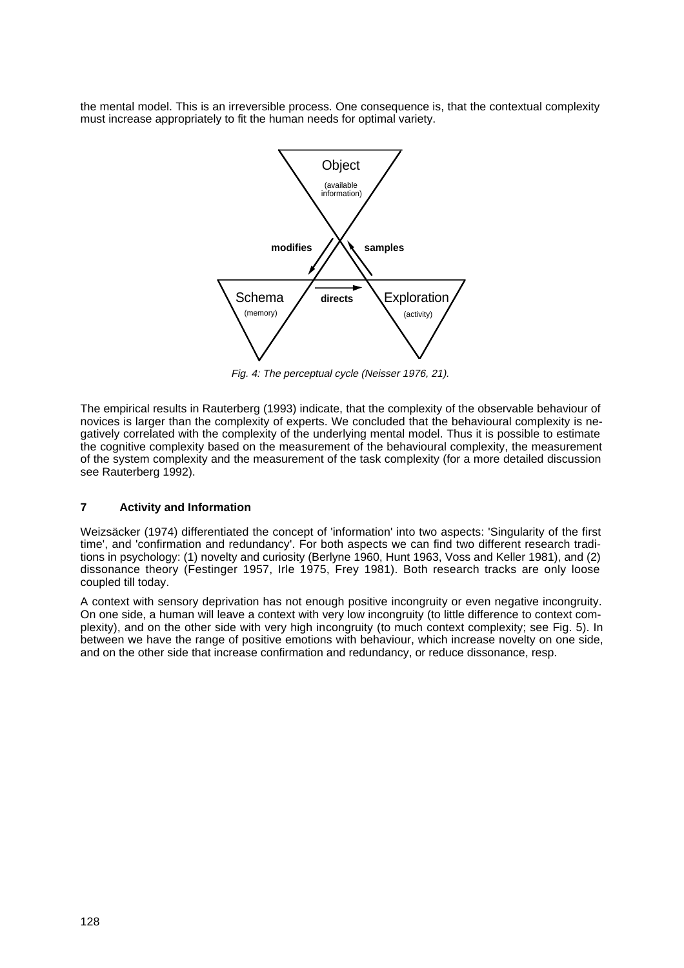the mental model. This is an irreversible process. One consequence is, that the contextual complexity must increase appropriately to fit the human needs for optimal variety.



Fig. 4: The perceptual cycle (Neisser 1976, 21).

The empirical results in Rauterberg (1993) indicate, that the complexity of the observable behaviour of novices is larger than the complexity of experts. We concluded that the behavioural complexity is negatively correlated with the complexity of the underlying mental model. Thus it is possible to estimate the cognitive complexity based on the measurement of the behavioural complexity, the measurement of the system complexity and the measurement of the task complexity (for a more detailed discussion see Rauterberg 1992).

## **7 Activity and Information**

Weizsäcker (1974) differentiated the concept of 'information' into two aspects: 'Singularity of the first time', and 'confirmation and redundancy'. For both aspects we can find two different research traditions in psychology: (1) novelty and curiosity (Berlyne 1960, Hunt 1963, Voss and Keller 1981), and (2) dissonance theory (Festinger 1957, Irle 1975, Frey 1981). Both research tracks are only loose coupled till today.

A context with sensory deprivation has not enough positive incongruity or even negative incongruity. On one side, a human will leave a context with very low incongruity (to little difference to context complexity), and on the other side with very high incongruity (to much context complexity; see Fig. 5). In between we have the range of positive emotions with behaviour, which increase novelty on one side, and on the other side that increase confirmation and redundancy, or reduce dissonance, resp.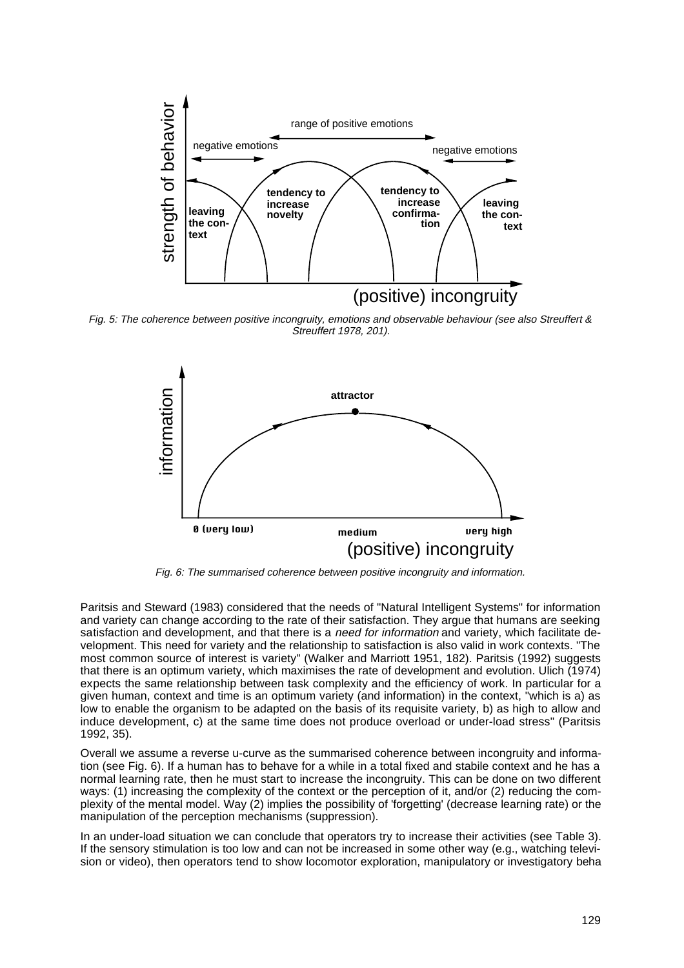

Fig. 5: The coherence between positive incongruity, emotions and observable behaviour (see also Streuffert & Streuffert 1978, 201).



Fig. 6: The summarised coherence between positive incongruity and information.

Paritsis and Steward (1983) considered that the needs of "Natural Intelligent Systems" for information and variety can change according to the rate of their satisfaction. They argue that humans are seeking satisfaction and development, and that there is a need for information and variety, which facilitate development. This need for variety and the relationship to satisfaction is also valid in work contexts. "The most common source of interest is variety" (Walker and Marriott 1951, 182). Paritsis (1992) suggests that there is an optimum variety, which maximises the rate of development and evolution. Ulich (1974) expects the same relationship between task complexity and the efficiency of work. In particular for a given human, context and time is an optimum variety (and information) in the context, "which is a) as low to enable the organism to be adapted on the basis of its requisite variety, b) as high to allow and induce development, c) at the same time does not produce overload or under-load stress" (Paritsis 1992, 35).

Overall we assume a reverse u-curve as the summarised coherence between incongruity and information (see Fig. 6). If a human has to behave for a while in a total fixed and stabile context and he has a normal learning rate, then he must start to increase the incongruity. This can be done on two different ways: (1) increasing the complexity of the context or the perception of it, and/or (2) reducing the complexity of the mental model. Way (2) implies the possibility of 'forgetting' (decrease learning rate) or the manipulation of the perception mechanisms (suppression).

In an under-load situation we can conclude that operators try to increase their activities (see Table 3). If the sensory stimulation is too low and can not be increased in some other way (e.g., watching television or video), then operators tend to show locomotor exploration, manipulatory or investigatory beha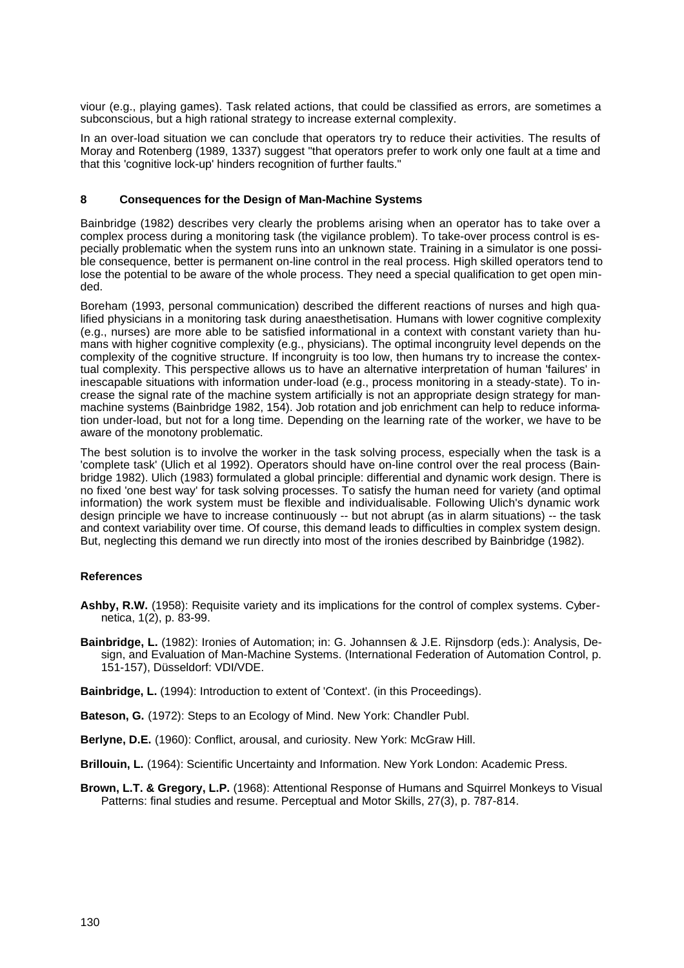viour (e.g., playing games). Task related actions, that could be classified as errors, are sometimes a subconscious, but a high rational strategy to increase external complexity.

In an over-load situation we can conclude that operators try to reduce their activities. The results of Moray and Rotenberg (1989, 1337) suggest "that operators prefer to work only one fault at a time and that this 'cognitive lock-up' hinders recognition of further faults."

#### **8 Consequences for the Design of Man-Machine Systems**

Bainbridge (1982) describes very clearly the problems arising when an operator has to take over a complex process during a monitoring task (the vigilance problem). To take-over process control is especially problematic when the system runs into an unknown state. Training in a simulator is one possible consequence, better is permanent on-line control in the real process. High skilled operators tend to lose the potential to be aware of the whole process. They need a special qualification to get open minded.

Boreham (1993, personal communication) described the different reactions of nurses and high qualified physicians in a monitoring task during anaesthetisation. Humans with lower cognitive complexity (e.g., nurses) are more able to be satisfied informational in a context with constant variety than humans with higher cognitive complexity (e.g., physicians). The optimal incongruity level depends on the complexity of the cognitive structure. If incongruity is too low, then humans try to increase the contextual complexity. This perspective allows us to have an alternative interpretation of human 'failures' in inescapable situations with information under-load (e.g., process monitoring in a steady-state). To increase the signal rate of the machine system artificially is not an appropriate design strategy for manmachine systems (Bainbridge 1982, 154). Job rotation and job enrichment can help to reduce information under-load, but not for a long time. Depending on the learning rate of the worker, we have to be aware of the monotony problematic.

The best solution is to involve the worker in the task solving process, especially when the task is a 'complete task' (Ulich et al 1992). Operators should have on-line control over the real process (Bainbridge 1982). Ulich (1983) formulated a global principle: differential and dynamic work design. There is no fixed 'one best way' for task solving processes. To satisfy the human need for variety (and optimal information) the work system must be flexible and individualisable. Following Ulich's dynamic work design principle we have to increase continuously -- but not abrupt (as in alarm situations) -- the task and context variability over time. Of course, this demand leads to difficulties in complex system design. But, neglecting this demand we run directly into most of the ironies described by Bainbridge (1982).

#### **References**

- **Ashby, R.W.** (1958): Requisite variety and its implications for the control of complex systems. Cybernetica, 1(2), p. 83-99.
- **Bainbridge, L.** (1982): Ironies of Automation; in: G. Johannsen & J.E. Rijnsdorp (eds.): Analysis, Design, and Evaluation of Man-Machine Systems. (International Federation of Automation Control, p. 151-157), Düsseldorf: VDI/VDE.
- **Bainbridge, L.** (1994): Introduction to extent of 'Context'. (in this Proceedings).
- **Bateson, G.** (1972): Steps to an Ecology of Mind. New York: Chandler Publ.
- **Berlyne, D.E.** (1960): Conflict, arousal, and curiosity. New York: McGraw Hill.
- **Brillouin, L.** (1964): Scientific Uncertainty and Information. New York London: Academic Press.
- **Brown, L.T. & Gregory, L.P.** (1968): Attentional Response of Humans and Squirrel Monkeys to Visual Patterns: final studies and resume. Perceptual and Motor Skills, 27(3), p. 787-814.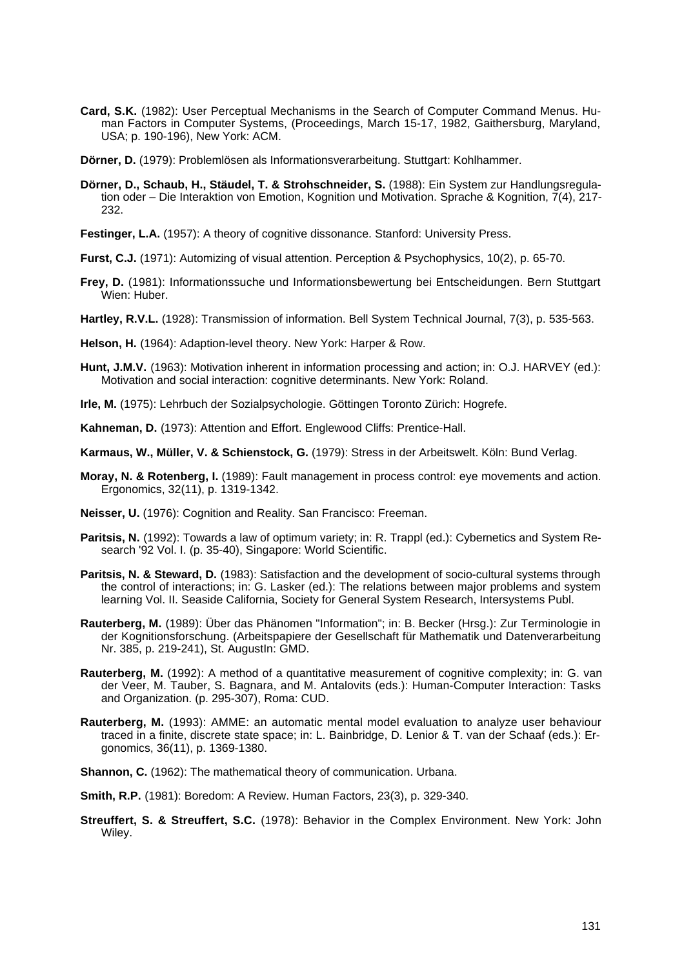- **Card, S.K.** (1982): User Perceptual Mechanisms in the Search of Computer Command Menus. Human Factors in Computer Systems, (Proceedings, March 15-17, 1982, Gaithersburg, Maryland, USA; p. 190-196), New York: ACM.
- **Dörner, D.** (1979): Problemlösen als Informationsverarbeitung. Stuttgart: Kohlhammer.
- **Dörner, D., Schaub, H., Stäudel, T. & Strohschneider, S.** (1988): Ein System zur Handlungsregulation oder – Die Interaktion von Emotion, Kognition und Motivation. Sprache & Kognition, 7(4), 217- 232.
- **Festinger, L.A.** (1957): A theory of cognitive dissonance. Stanford: University Press.
- **Furst, C.J.** (1971): Automizing of visual attention. Perception & Psychophysics, 10(2), p. 65-70.
- **Frey, D.** (1981): Informationssuche und Informationsbewertung bei Entscheidungen. Bern Stuttgart Wien: Huber.
- **Hartley, R.V.L.** (1928): Transmission of information. Bell System Technical Journal, 7(3), p. 535-563.
- **Helson, H.** (1964): Adaption-level theory. New York: Harper & Row.
- **Hunt, J.M.V.** (1963): Motivation inherent in information processing and action; in: O.J. HARVEY (ed.): Motivation and social interaction: cognitive determinants. New York: Roland.
- **Irle, M.** (1975): Lehrbuch der Sozialpsychologie. Göttingen Toronto Zürich: Hogrefe.
- **Kahneman, D.** (1973): Attention and Effort. Englewood Cliffs: Prentice-Hall.
- **Karmaus, W., Müller, V. & Schienstock, G.** (1979): Stress in der Arbeitswelt. Köln: Bund Verlag.
- **Moray, N. & Rotenberg, I.** (1989): Fault management in process control: eye movements and action. Ergonomics, 32(11), p. 1319-1342.
- **Neisser, U.** (1976): Cognition and Reality. San Francisco: Freeman.
- **Paritsis, N.** (1992): Towards a law of optimum variety; in: R. Trappl (ed.): Cybernetics and System Research '92 Vol. I. (p. 35-40), Singapore: World Scientific.
- **Paritsis, N. & Steward, D.** (1983): Satisfaction and the development of socio-cultural systems through the control of interactions; in: G. Lasker (ed.): The relations between major problems and system learning Vol. II. Seaside California, Society for General System Research, Intersystems Publ.
- **Rauterberg, M.** (1989): Über das Phänomen "Information"; in: B. Becker (Hrsg.): Zur Terminologie in der Kognitionsforschung. (Arbeitspapiere der Gesellschaft für Mathematik und Datenverarbeitung Nr. 385, p. 219-241), St. AugustIn: GMD.
- **Rauterberg, M.** (1992): A method of a quantitative measurement of cognitive complexity; in: G. van der Veer, M. Tauber, S. Bagnara, and M. Antalovits (eds.): Human-Computer Interaction: Tasks and Organization. (p. 295-307), Roma: CUD.
- **Rauterberg, M.** (1993): AMME: an automatic mental model evaluation to analyze user behaviour traced in a finite, discrete state space; in: L. Bainbridge, D. Lenior & T. van der Schaaf (eds.): Ergonomics, 36(11), p. 1369-1380.
- **Shannon, C.** (1962): The mathematical theory of communication. Urbana.
- **Smith, R.P.** (1981): Boredom: A Review. Human Factors, 23(3), p. 329-340.
- **Streuffert, S. & Streuffert, S.C.** (1978): Behavior in the Complex Environment. New York: John Wiley.